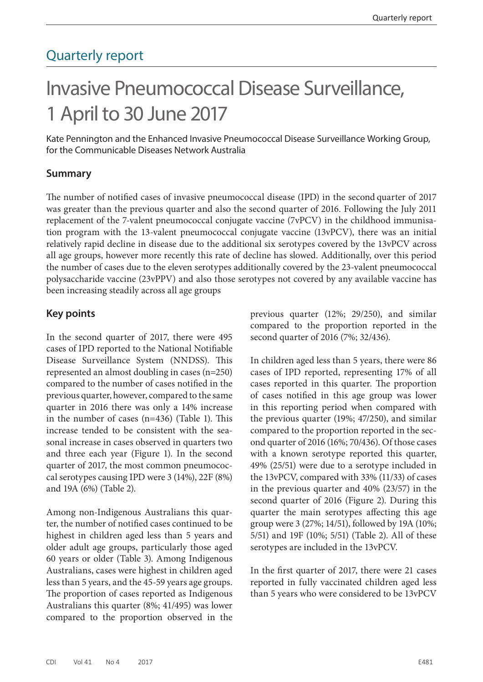# Quarterly report

# Invasive Pneumococcal Disease Surveillance, 1 April to 30 June 2017

Kate Pennington and the Enhanced Invasive Pneumococcal Disease Surveillance Working Group, for the Communicable Diseases Network Australia

### **Summary**

The number of notified cases of invasive pneumococcal disease (IPD) in the second quarter of 2017 was greater than the previous quarter and also the second quarter of 2016. Following the July 2011 replacement of the 7-valent pneumococcal conjugate vaccine (7vPCV) in the childhood immunisation program with the 13-valent pneumococcal conjugate vaccine (13vPCV), there was an initial relatively rapid decline in disease due to the additional six serotypes covered by the 13vPCV across all age groups, however more recently this rate of decline has slowed. Additionally, over this period the number of cases due to the eleven serotypes additionally covered by the 23-valent pneumococcal polysaccharide vaccine (23vPPV) and also those serotypes not covered by any available vaccine has been increasing steadily across all age groups

### **Key points**

In the second quarter of 2017, there were 495 cases of IPD reported to the National Notifiable Disease Surveillance System (NNDSS). This represented an almost doubling in cases (n=250) compared to the number of cases notified in the previous quarter, however, compared to the same quarter in 2016 there was only a 14% increase in the number of cases (n=436) (Table 1). This increase tended to be consistent with the seasonal increase in cases observed in quarters two and three each year (Figure 1). In the second quarter of 2017, the most common pneumococcal serotypes causing IPD were 3 (14%), 22F (8%) and 19A (6%) (Table 2).

Among non-Indigenous Australians this quarter, the number of notified cases continued to be highest in children aged less than 5 years and older adult age groups, particularly those aged 60 years or older (Table 3). Among Indigenous Australians, cases were highest in children aged less than 5 years, and the 45-59 years age groups. The proportion of cases reported as Indigenous Australians this quarter (8%; 41/495) was lower compared to the proportion observed in the previous quarter (12%; 29/250), and similar compared to the proportion reported in the second quarter of 2016 (7%; 32/436).

In children aged less than 5 years, there were 86 cases of IPD reported, representing 17% of all cases reported in this quarter. The proportion of cases notified in this age group was lower in this reporting period when compared with the previous quarter (19%; 47/250), and similar compared to the proportion reported in the second quarter of 2016 (16%; 70/436). Of those cases with a known serotype reported this quarter, 49% (25/51) were due to a serotype included in the 13vPCV, compared with 33% (11/33) of cases in the previous quarter and 40% (23/57) in the second quarter of 2016 (Figure 2). During this quarter the main serotypes affecting this age group were 3 (27%; 14/51), followed by 19A (10%; 5/51) and 19F (10%; 5/51) (Table 2). All of these serotypes are included in the 13vPCV.

In the first quarter of 2017, there were 21 cases reported in fully vaccinated children aged less than 5 years who were considered to be 13vPCV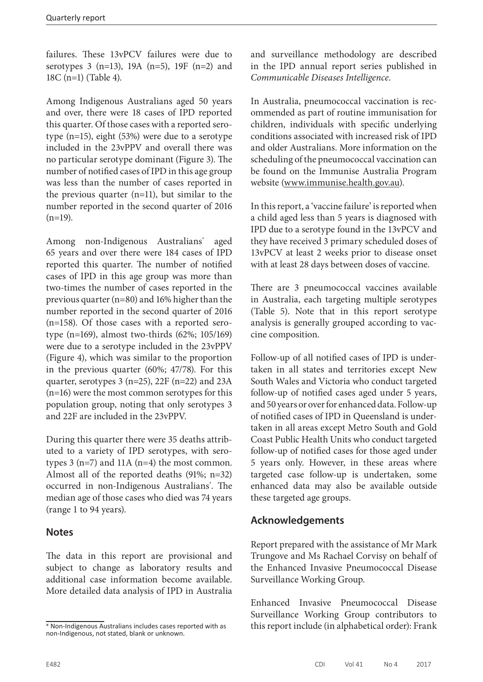failures. These 13vPCV failures were due to serotypes 3 (n=13), 19A (n=5), 19F (n=2) and 18C (n=1) (Table 4).

Among Indigenous Australians aged 50 years and over, there were 18 cases of IPD reported this quarter. Of those cases with a reported serotype (n=15), eight (53%) were due to a serotype included in the 23vPPV and overall there was no particular serotype dominant (Figure 3). The number of notified cases of IPD in this age group was less than the number of cases reported in the previous quarter (n=11), but similar to the number reported in the second quarter of 2016  $(n=19)$ .

Among non-Indigenous Australians\* aged 65 years and over there were 184 cases of IPD reported this quarter. The number of notified cases of IPD in this age group was more than two-times the number of cases reported in the previous quarter (n=80) and 16% higher than the number reported in the second quarter of 2016 (n=158). Of those cases with a reported serotype (n=169), almost two-thirds (62%; 105/169) were due to a serotype included in the 23vPPV (Figure 4), which was similar to the proportion in the previous quarter (60%; 47/78). For this quarter, serotypes 3 (n=25), 22F (n=22) and 23A (n=16) were the most common serotypes for this population group, noting that only serotypes 3 and 22F are included in the 23vPPV.

During this quarter there were 35 deaths attributed to a variety of IPD serotypes, with serotypes 3 (n=7) and 11A (n=4) the most common. Almost all of the reported deaths (91%; n=32) occurred in non-Indigenous Australians\* . The median age of those cases who died was 74 years (range 1 to 94 years).

# **Notes**

The data in this report are provisional and subject to change as laboratory results and additional case information become available. More detailed data analysis of IPD in Australia and surveillance methodology are described in the IPD annual report series published in *Communicable Diseases Intelligence*.

In Australia, pneumococcal vaccination is recommended as part of routine immunisation for children, individuals with specific underlying conditions associated with increased risk of IPD and older Australians. More information on the scheduling of the pneumococcal vaccination can be found on the Immunise Australia Program website [\(www.immunise.health.gov.au](www.immunise.health.gov.au)).

In this report, a 'vaccine failure' is reported when a child aged less than 5 years is diagnosed with IPD due to a serotype found in the 13vPCV and they have received 3 primary scheduled doses of 13vPCV at least 2 weeks prior to disease onset with at least 28 days between doses of vaccine.

There are 3 pneumococcal vaccines available in Australia, each targeting multiple serotypes (Table 5). Note that in this report serotype analysis is generally grouped according to vaccine composition.

Follow-up of all notified cases of IPD is undertaken in all states and territories except New South Wales and Victoria who conduct targeted follow-up of notified cases aged under 5 years, and 50 years or over for enhanced data. Follow-up of notified cases of IPD in Queensland is undertaken in all areas except Metro South and Gold Coast Public Health Units who conduct targeted follow-up of notified cases for those aged under 5 years only. However, in these areas where targeted case follow-up is undertaken, some enhanced data may also be available outside these targeted age groups.

# **Acknowledgements**

Report prepared with the assistance of Mr Mark Trungove and Ms Rachael Corvisy on behalf of the Enhanced Invasive Pneumococcal Disease Surveillance Working Group.

Enhanced Invasive Pneumococcal Disease Surveillance Working Group contributors to this report include (in alphabetical order): Frank

<sup>\*</sup> Non-Indigenous Australians includes cases reported with as non-Indigenous, not stated, blank or unknown.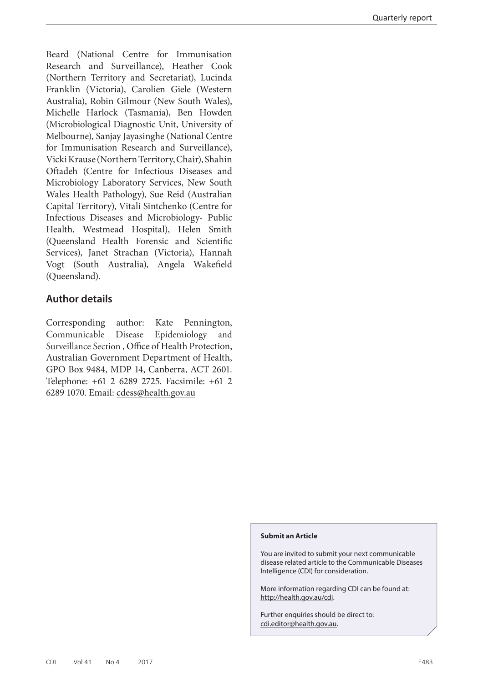Beard (National Centre for Immunisation Research and Surveillance), Heather Cook (Northern Territory and Secretariat), Lucinda Franklin (Victoria), Carolien Giele (Western Australia), Robin Gilmour (New South Wales), Michelle Harlock (Tasmania), Ben Howden (Microbiological Diagnostic Unit, University of Melbourne), Sanjay Jayasinghe (National Centre for Immunisation Research and Surveillance), Vicki Krause (Northern Territory, Chair), Shahin Oftadeh (Centre for Infectious Diseases and Microbiology Laboratory Services, New South Wales Health Pathology), Sue Reid (Australian Capital Territory), Vitali Sintchenko (Centre for Infectious Diseases and Microbiology- Public Health, Westmead Hospital), Helen Smith (Queensland Health Forensic and Scientific Services), Janet Strachan (Victoria), Hannah Vogt (South Australia), Angela Wakefield (Queensland).

# **Author details**

Corresponding author: Kate Pennington, Communicable Disease Epidemiology and Surveillance Section , Office of Health Protection, Australian Government Department of Health, GPO Box 9484, MDP 14, Canberra, ACT 2601. Telephone: +61 2 6289 2725. Facsimile: +61 2 6289 1070. Email: [cdess@health.gov.au](mailto:cdess%40health.gov.au?subject=)

#### **Submit an Article**

You are invited to submit your next communicable disease related article to the Communicable Diseases Intelligence (CDI) for consideration.

More information regarding CDI can be found at: http://health.gov.au/cdi.

Further enquiries should be direct to: cdi.editor@health.gov.au.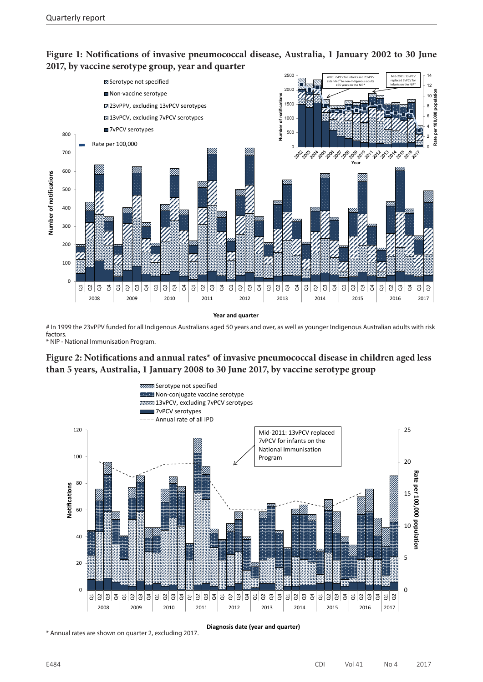

## **Figure 1: Notifications of invasive pneumococcal disease, Australia, 1 January 2002 to 30 June 2017, by vaccine serotype group, year and quarter**

# In 1999 the 23vPPV funded for all Indigenous Australians aged 50 years and over, as well as younger Indigenous Australian adults with risk factors.

\* NIP - National Immunisation Program.

### **Figure 2: Notifications and annual rates\* of invasive pneumococcal disease in children aged less than 5 years, Australia, 1 January 2008 to 30 June 2017, by vaccine serotype group**



\* Annual rates are shown on quarter 2, excluding 2017.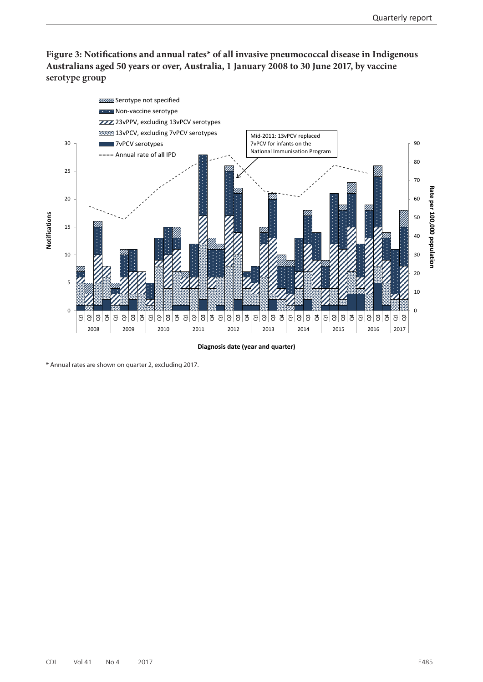**Figure 3: Notifications and annual rates\* of all invasive pneumococcal disease in Indigenous Australians aged 50 years or over, Australia, 1 January 2008 to 30 June 2017, by vaccine serotype group**



\* Annual rates are shown on quarter 2, excluding 2017.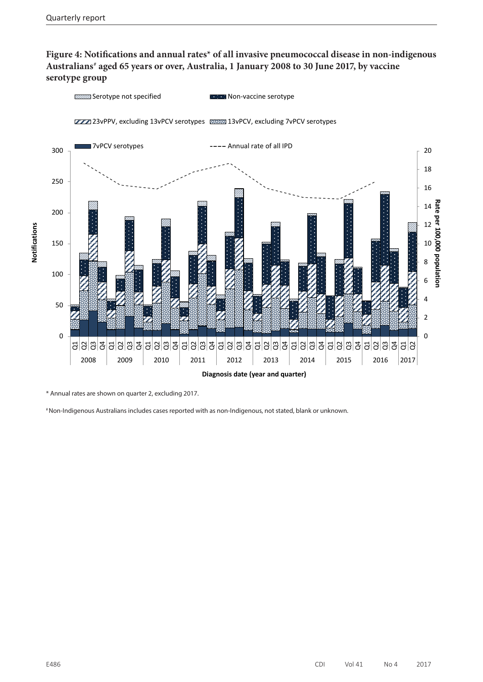# **Figure 4: Notifications and annual rates\* of all invasive pneumococcal disease in non-indigenous Australians# aged 65 years or over, Australia, 1 January 2008 to 30 June 2017, by vaccine serotype group**



\* Annual rates are shown on quarter 2, excluding 2017.

# Non-Indigenous Australians includes cases reported with as non-Indigenous, not stated, blank or unknown.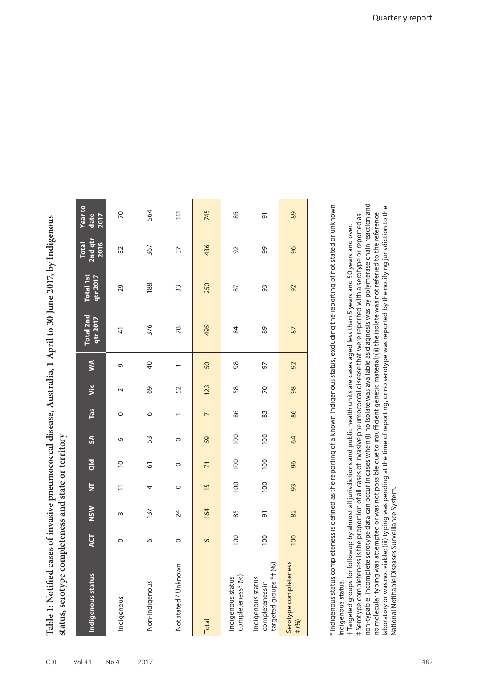Table 1: Notified cases of invasive pneumococcal disease, Australia, 1 April to 30 June 2017, by Indigenous **Table 1: Notified cases of invasive pneumococcal disease, Australia, 1 April to 30 June 2017, by Indigenous**  status, serotype completeness and state or territory **status, serotype completeness and state or territory**

| Indigenous status                                              | <b>ACT</b> | <b>NSW</b> | $\overline{\mathsf{z}}$ | $\frac{d}{d}$  | $\boldsymbol{\mathsf{s}}$ | Tas            | Vic    | S              | Total 2nd<br>qtr 2017 | <b>Total 1st</b><br>qtr 2017 | 2nd qtr<br>2016<br><b>Total</b> | <b>Year to</b><br>date<br>2017 |
|----------------------------------------------------------------|------------|------------|-------------------------|----------------|---------------------------|----------------|--------|----------------|-----------------------|------------------------------|---------------------------------|--------------------------------|
| Indigenous                                                     | $\circ$    | 3          | $\Xi$                   | $\overline{C}$ | $\circ$                   | $\circ$        | $\sim$ | 9              | $\frac{4}{5}$         | 29                           | 32                              | $\mathcal{R}$                  |
| Non-Indigenous                                                 | $\circ$    | 137        | 4                       | 67             | 53                        | $\circ$        | 69     | $\overline{a}$ | 376                   | 188                          | 367                             | 564                            |
| Not stated / Unknown                                           | $\circ$    | 24         | $\circ$                 | $\circ$        | $\circ$                   |                | 52     |                | 78                    | 33                           | $\overline{5}$                  | $\overline{11}$                |
| Total                                                          | $\circ$    | 164        | $\overline{15}$         | $\overline{7}$ | 59                        | $\overline{ }$ | 123    | 50             | 495                   | 250                          | 436                             | 745                            |
| completeness* (%)<br>Indigenous status                         | 100        | 85         | 100                     | 100            | 100                       | 86             | 58     | 98             | 84                    | 87                           | 92                              | 85                             |
| targeted groups *t (%)<br>Indigenous status<br>completeness in | 100        | 5          | 100                     | 100            | 100                       | 83             | 20     | 50             | 89                    | 93                           | 99                              | 5                              |
| Serotype completeness<br># (%)                                 | 100        | 82         | 93                      | 96             | 64                        | 86             | 98     | 92             | 87                    | 92                           | 96                              | 89                             |

**Contract Contract** 

 $\mathbb{R}^n$ 

 $\sim$ 

\* Indigenous status completeness is defined as the reporting of a known Indigenous status, excluding the reporting of not stated or unknown \* Indigenous status completeness is defined as the reporting of a known Indigenous status, excluding the reporting of not stated or unknown ndigenous status. Indigenous status.

non-typable. Incomplete serotype data can occur in cases when (i) no isolate was available as diagnosis was by polymerase chain reaction and non-typable. Incomplete serotype data can occur in cases when (i) no isolate was available as diagnosis was by polymerase chain reaction and aboratory or was not viable; (iii) typing was pending at the time of reporting, or no serotype was reported by the notifying jurisdiction to the laboratory or was not viable; (iii) typing was pending at the time of reporting, or no serotype was reported by the notifying jurisdiction to the no molecular typing was attempted or was not possible due to insufficient genetic material; (ii) the isolate was not referred to the reference no molecular typing was attempted or was not possible due to insufficient genetic material; (ii) the isolate was not referred to the reference # Serotype completeness is the proportion of all cases of invasive pneumococcal disease that were reported with a serotype or reported as ‡ Serotype completeness is the proportion of all cases of invasive pneumococcal disease that were reported with a serotype or reported as + Targeted groups for followup by almost all jurisdictions and public health units are cases aged less than 5 years and 50 years and over. † Targeted groups for followup by almost all jurisdictions and public health units are cases aged less than 5 years and 50 years and over. Vational Notifiable Diseases Surveillance System. National Notifiable Diseases Surveillance System.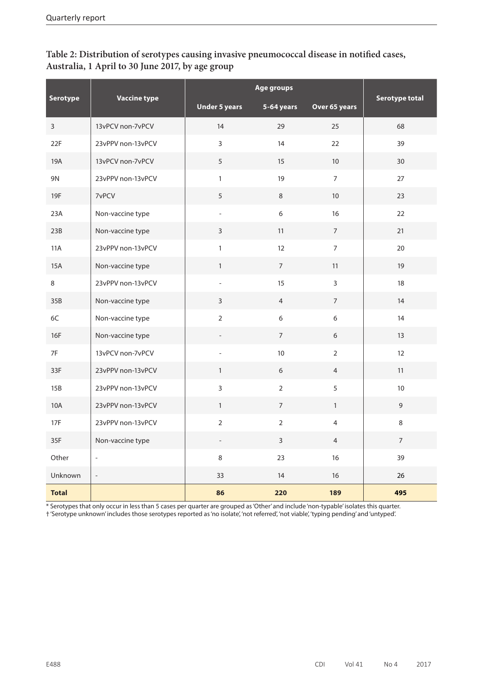| Table 2: Distribution of serotypes causing invasive pneumococcal disease in notified cases, |
|---------------------------------------------------------------------------------------------|
| Australia, 1 April to 30 June 2017, by age group                                            |

|                 |                          | Age groups               |                  |                | <b>Serotype total</b> |
|-----------------|--------------------------|--------------------------|------------------|----------------|-----------------------|
| <b>Serotype</b> | <b>Vaccine type</b>      | <b>Under 5 years</b>     | 5-64 years       | Over 65 years  |                       |
| $\mathsf{3}$    | 13vPCV non-7vPCV         | 14                       | 29               | 25             | 68                    |
| 22F             | 23vPPV non-13vPCV        | $\overline{3}$           | 14               | 22             | 39                    |
| 19A             | 13vPCV non-7vPCV         | 5                        | 15               | $10\,$         | 30                    |
| 9N              | 23vPPV non-13vPCV        | $\mathbf{1}$             | 19               | $\overline{7}$ | 27                    |
| 19F             | 7vPCV                    | 5                        | $\,8\,$          | $10\,$         | 23                    |
| 23A             | Non-vaccine type         | $\overline{\phantom{a}}$ | $6\,$            | 16             | 22                    |
| 23B             | Non-vaccine type         | 3                        | 11               | $\overline{7}$ | 21                    |
| <b>11A</b>      | 23vPPV non-13vPCV        | $\mathbf{1}$             | 12               | $\overline{7}$ | 20                    |
| 15A             | Non-vaccine type         | $\mathbf{1}$             | $7^{\circ}$      | 11             | 19                    |
| 8               | 23vPPV non-13vPCV        | $\overline{\phantom{a}}$ | 15               | $\mathbf{3}$   | 18                    |
| 35B             | Non-vaccine type         | $\overline{3}$           | $\overline{4}$   | $\overline{7}$ | 14                    |
| 6C              | Non-vaccine type         | $\overline{2}$           | $\boldsymbol{6}$ | 6              | 14                    |
| 16F             | Non-vaccine type         | $\overline{\phantom{a}}$ | $\overline{7}$   | 6              | 13                    |
| 7F              | 13vPCV non-7vPCV         | $\overline{\phantom{0}}$ | $10$             | $\overline{2}$ | 12                    |
| 33F             | 23vPPV non-13vPCV        | $\mathbf{1}$             | 6                | $\overline{4}$ | 11                    |
| 15B             | 23vPPV non-13vPCV        | $\overline{3}$           | $\overline{2}$   | 5              | 10                    |
| <b>10A</b>      | 23vPPV non-13vPCV        | $\mathbf{1}$             | $\overline{7}$   | $\mathbf{1}$   | $\overline{9}$        |
| 17F             | 23vPPV non-13vPCV        | $\overline{2}$           | $\overline{2}$   | $\overline{4}$ | $\,8\,$               |
| 35F             | Non-vaccine type         | $\qquad \qquad -$        | $\mathsf{3}$     | $\overline{4}$ | $\overline{7}$        |
| Other           | $\overline{\phantom{a}}$ | $\,8\,$                  | 23               | 16             | 39                    |
| Unknown         | $\overline{\phantom{a}}$ | 33                       | 14               | 16             | 26                    |
| <b>Total</b>    |                          | 86                       | 220              | 189            | 495                   |

\* Serotypes that only occur in less than 5 cases per quarter are grouped as 'Other' and include 'non-typable' isolates this quarter.

† 'Serotype unknown' includes those serotypes reported as 'no isolate', 'not referred', 'not viable', 'typing pending' and 'untyped'.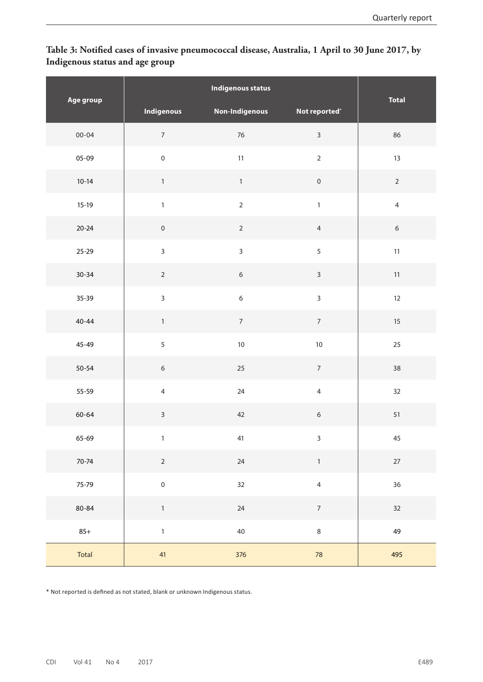# **Table 3: Notified cases of invasive pneumococcal disease, Australia, 1 April to 30 June 2017, by Indigenous status and age group**

| Age group |                     | <b>Total</b>   |                  |                   |
|-----------|---------------------|----------------|------------------|-------------------|
|           | <b>Indigenous</b>   | Non-Indigenous | Not reported*    |                   |
| $00 - 04$ | $\overline{7}$      | 76             | $\overline{3}$   | 86                |
| $05-09$   | $\mathbf 0$         | 11             | $\overline{2}$   | 13                |
| $10-14$   | $\mathbf{1}$        | $\mathbf{1}$   | $\mathbf 0$      | $\overline{2}$    |
| $15-19$   | $\mathbf{1}$        | $\overline{2}$ | $\mathbf{1}$     | $\overline{4}$    |
| $20 - 24$ | $\mathsf{O}\xspace$ | $\overline{2}$ | $\overline{4}$   | $\boldsymbol{6}$  |
| 25-29     | $\overline{3}$      | $\overline{3}$ | $\overline{5}$   | 11                |
| $30 - 34$ | $\overline{2}$      | $6\phantom{a}$ | $\overline{3}$   | $11\,$            |
| 35-39     | $\overline{3}$      | $\overline{6}$ | $\overline{3}$   | $12 \overline{ }$ |
| $40 - 44$ | $\mathbf{1}$        | $\overline{7}$ | $\overline{7}$   | $15\,$            |
| 45-49     | 5                   | 10             | $10\,$           | 25                |
| $50 - 54$ | $\sqrt{6}$          | 25             | $\overline{7}$   | 38                |
| 55-59     | $\overline{4}$      | 24             | $\overline{4}$   | 32                |
| 60-64     | $\overline{3}$      | 42             | $\boldsymbol{6}$ | 51                |
| 65-69     | $\mathbf{1}$        | 41             | $\mathbf{3}$     | 45                |
| 70-74     | $\overline{2}$      | 24             | $\mathbf 1$      | $27\,$            |
| 75-79     | $\pmb{0}$           | $32\,$         | $\overline{4}$   | 36                |
| 80-84     | $\mathbf{1}$        | 24             | $\overline{7}$   | 32                |
| $85+$     | $\mathbf 1$         | 40             | $\,8\,$          | 49                |
| Total     | 41                  | 376            | 78               | 495               |

\* Not reported is defined as not stated, blank or unknown Indigenous status.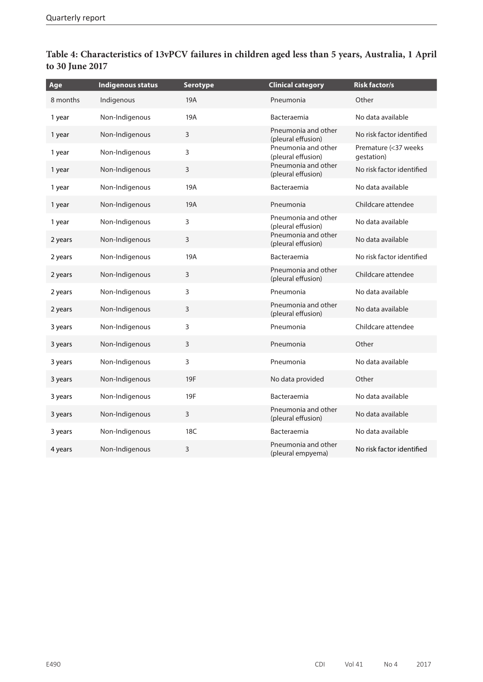| Age      | <b>Indigenous status</b> | <b>Serotype</b> | <b>Clinical category</b>                  | <b>Risk factor/s</b>               |
|----------|--------------------------|-----------------|-------------------------------------------|------------------------------------|
| 8 months | Indigenous               | 19A             | Pneumonia                                 | Other                              |
| 1 year   | Non-Indigenous           | 19A             | Bacteraemia                               | No data available                  |
| 1 year   | Non-Indigenous           | 3               | Pneumonia and other<br>(pleural effusion) | No risk factor identified          |
| 1 year   | Non-Indigenous           | 3               | Pneumonia and other<br>(pleural effusion) | Premature (<37 weeks<br>qestation) |
| 1 year   | Non-Indigenous           | 3               | Pneumonia and other<br>(pleural effusion) | No risk factor identified          |
| 1 year   | Non-Indigenous           | 19A             | Bacteraemia                               | No data available                  |
| 1 year   | Non-Indigenous           | 19A             | Pneumonia                                 | Childcare attendee                 |
| 1 year   | Non-Indigenous           | 3               | Pneumonia and other<br>(pleural effusion) | No data available                  |
| 2 years  | Non-Indigenous           | 3               | Pneumonia and other<br>(pleural effusion) | No data available                  |
| 2 years  | Non-Indigenous           | 19A             | Bacteraemia                               | No risk factor identified          |
| 2 years  | Non-Indigenous           | 3               | Pneumonia and other<br>(pleural effusion) | Childcare attendee                 |
| 2 years  | Non-Indigenous           | 3               | Pneumonia                                 | No data available                  |
| 2 years  | Non-Indigenous           | $\overline{3}$  | Pneumonia and other<br>(pleural effusion) | No data available                  |
| 3 years  | Non-Indigenous           | 3               | Pneumonia                                 | Childcare attendee                 |
| 3 years  | Non-Indigenous           | 3               | Pneumonia                                 | Other                              |
| 3 years  | Non-Indigenous           | 3               | Pneumonia                                 | No data available                  |
| 3 years  | Non-Indigenous           | 19F             | No data provided                          | Other                              |
| 3 years  | Non-Indigenous           | 19F             | Bacteraemia                               | No data available                  |
| 3 years  | Non-Indigenous           | $\mathsf{3}$    | Pneumonia and other<br>(pleural effusion) | No data available                  |
| 3 years  | Non-Indigenous           | 18C             | Bacteraemia                               | No data available                  |
| 4 years  | Non-Indigenous           | $\overline{3}$  | Pneumonia and other<br>(pleural empyema)  | No risk factor identified          |

# **Table 4: Characteristics of 13vPCV failures in children aged less than 5 years, Australia, 1 April to 30 June 2017**